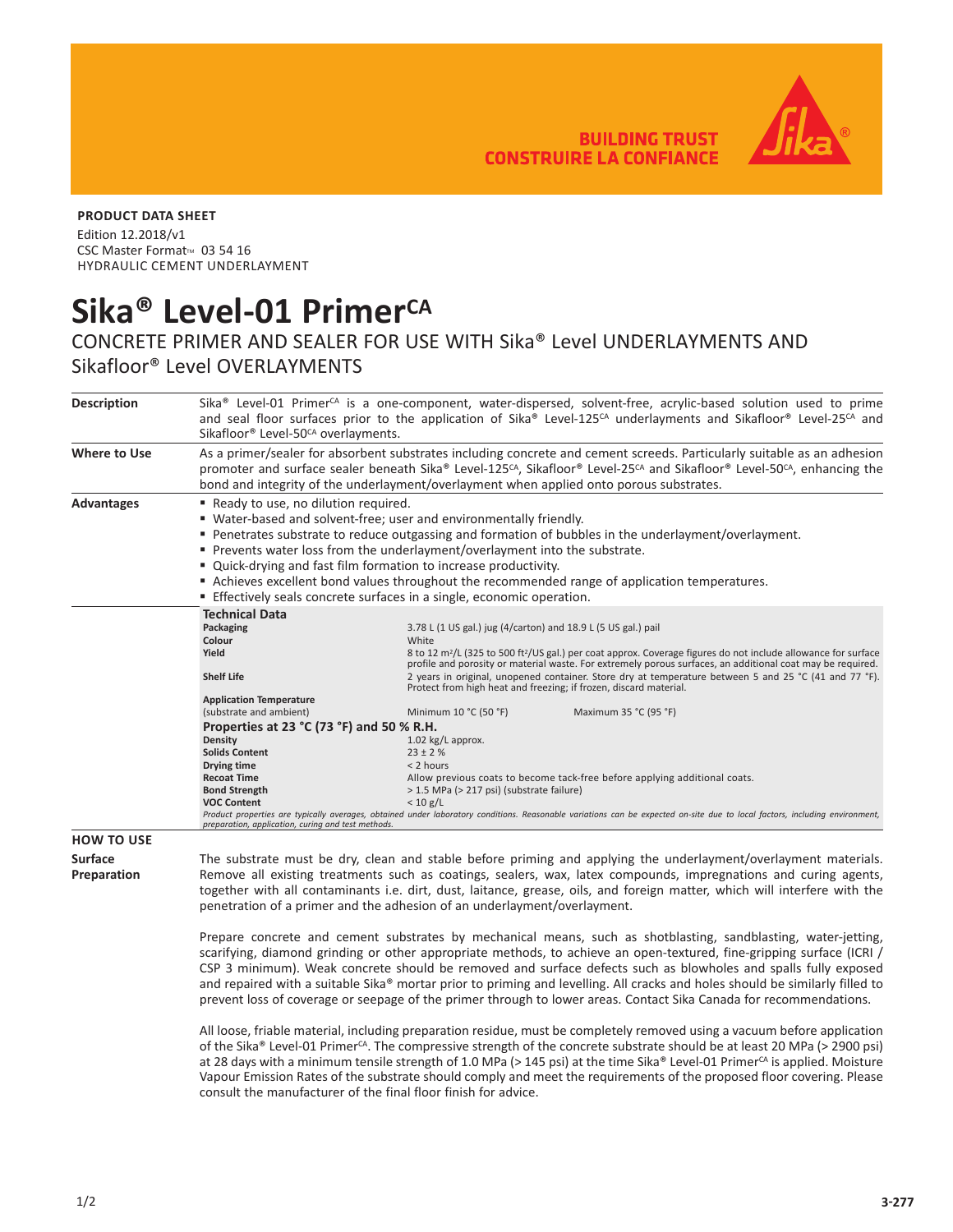**BUILDING TRUST CONSTRUIRE LA CONFIANCE** 



## **PRODUCT DATA SHEET**

Edition 12.2018/v1 CSC Master Format<sup>™</sup> 03 54 16 HYDRAULIC CEMENT UNDERLAYMENT

## Sika<sup>®</sup> Level-01 Primer<sup>CA</sup>

## CONCRETE PRIMER AND SEALER FOR USE WITH Sika® Level UNDERLAYMENTS AND Sikafloor® Level OVERLAYMENTS

| <b>Description</b>            | Sika® Level-01 Primer <sup>cA</sup> is a one-component, water-dispersed, solvent-free, acrylic-based solution used to prime<br>and seal floor surfaces prior to the application of Sika® Level-125 <sup>cA</sup> underlayments and Sikafloor® Level-25 <sup>cA</sup> and<br>Sikafloor® Level-50 <sup>CA</sup> overlayments.                                                                                                                                         |                                                                                                                                                                                                                                                                                                                                                                                                                                                                                                                                                                                                                                                                                                                                                                                                                                                                                                                                         |  |  |  |  |
|-------------------------------|---------------------------------------------------------------------------------------------------------------------------------------------------------------------------------------------------------------------------------------------------------------------------------------------------------------------------------------------------------------------------------------------------------------------------------------------------------------------|-----------------------------------------------------------------------------------------------------------------------------------------------------------------------------------------------------------------------------------------------------------------------------------------------------------------------------------------------------------------------------------------------------------------------------------------------------------------------------------------------------------------------------------------------------------------------------------------------------------------------------------------------------------------------------------------------------------------------------------------------------------------------------------------------------------------------------------------------------------------------------------------------------------------------------------------|--|--|--|--|
| <b>Where to Use</b>           | As a primer/sealer for absorbent substrates including concrete and cement screeds. Particularly suitable as an adhesion<br>promoter and surface sealer beneath Sika® Level-125 <sup>cA</sup> , Sikafloor® Level-25 <sup>cA</sup> and Sikafloor® Level-50 <sup>cA</sup> , enhancing the<br>bond and integrity of the underlayment/overlayment when applied onto porous substrates.                                                                                   |                                                                                                                                                                                                                                                                                                                                                                                                                                                                                                                                                                                                                                                                                                                                                                                                                                                                                                                                         |  |  |  |  |
| <b>Advantages</b>             | Ready to use, no dilution required.<br>■ Water-based and solvent-free; user and environmentally friendly.<br>■ Penetrates substrate to reduce outgassing and formation of bubbles in the underlayment/overlayment.<br>Prevents water loss from the underlayment/overlayment into the substrate.<br>" Quick-drying and fast film formation to increase productivity.<br>Achieves excellent bond values throughout the recommended range of application temperatures. |                                                                                                                                                                                                                                                                                                                                                                                                                                                                                                                                                                                                                                                                                                                                                                                                                                                                                                                                         |  |  |  |  |
|                               | <b>Effectively seals concrete surfaces in a single, economic operation.</b>                                                                                                                                                                                                                                                                                                                                                                                         |                                                                                                                                                                                                                                                                                                                                                                                                                                                                                                                                                                                                                                                                                                                                                                                                                                                                                                                                         |  |  |  |  |
|                               | <b>Technical Data</b><br>Packaging<br>Colour<br>Yield<br><b>Shelf Life</b><br><b>Application Temperature</b><br>(substrate and ambient)<br>Properties at 23 °C (73 °F) and 50 % R.H.<br>Density<br><b>Solids Content</b><br>Drying time<br><b>Recoat Time</b><br><b>Bond Strength</b><br><b>VOC Content</b><br>preparation, application, curing and test methods.                                                                                                   | 3.78 L (1 US gal.) jug (4/carton) and 18.9 L (5 US gal.) pail<br>White<br>8 to 12 m <sup>2</sup> /L (325 to 500 ft <sup>2</sup> /US gal.) per coat approx. Coverage figures do not include allowance for surface<br>profile and porosity or material waste. For extremely porous surfaces, an additional coat may be required.<br>2 years in original, unopened container. Store dry at temperature between 5 and 25 °C (41 and 77 °F).<br>Protect from high heat and freezing; if frozen, discard material.<br>Minimum 10 °C (50 °F)<br>Maximum 35 °C (95 °F)<br>1.02 kg/L approx.<br>$23 \pm 2 \%$<br>< 2 hours<br>Allow previous coats to become tack-free before applying additional coats.<br>> 1.5 MPa (> 217 psi) (substrate failure)<br>< 10 g/L<br>Product properties are typically averages, obtained under laboratory conditions. Reasonable variations can be expected on-site due to local factors, including environment, |  |  |  |  |
| <b>HOW TO USE</b>             |                                                                                                                                                                                                                                                                                                                                                                                                                                                                     |                                                                                                                                                                                                                                                                                                                                                                                                                                                                                                                                                                                                                                                                                                                                                                                                                                                                                                                                         |  |  |  |  |
| <b>Surface</b><br>Preparation | The substrate must be dry, clean and stable before priming and applying the underlayment/overlayment materials.<br>Remove all existing treatments such as coatings, sealers, wax, latex compounds, impregnations and curing agents,<br>together with all contaminants i.e. dirt, dust, laitance, grease, oils, and foreign matter, which will interfere with the<br>penetration of a primer and the adhesion of an underlayment/overlayment.                        |                                                                                                                                                                                                                                                                                                                                                                                                                                                                                                                                                                                                                                                                                                                                                                                                                                                                                                                                         |  |  |  |  |

Prepare concrete and cement substrates by mechanical means, such as shotblasting, sandblasting, water-jetting, scarifying, diamond grinding or other appropriate methods, to achieve an open-textured, fine-gripping surface (ICRI / CSP 3 minimum). Weak concrete should be removed and surface defects such as blowholes and spalls fully exposed and repaired with a suitable Sika® mortar prior to priming and levelling. All cracks and holes should be similarly filled to prevent loss of coverage or seepage of the primer through to lower areas. Contact Sika Canada for recommendations.

All loose, friable material, including preparation residue, must be completely removed using a vacuum before application of the Sika® Level-01 Primer<sup>cA</sup>. The compressive strength of the concrete substrate should be at least 20 MPa (> 2900 psi) at 28 days with a minimum tensile strength of 1.0 MPa (> 145 psi) at the time Sika® Level-01 Primer<sup>cA</sup> is applied. Moisture Vapour Emission Rates of the substrate should comply and meet the requirements of the proposed floor covering. Please consult the manufacturer of the final floor finish for advice.